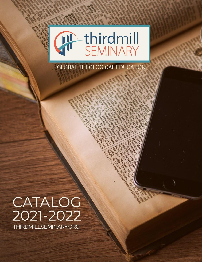

# **GLOBAL THEOLOGICAL EDUCATION**

# CATALOG 2021-2022 THIRDMILLSEMINARY.ORG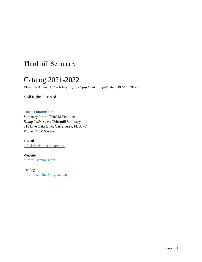# Thirdmill Seminary

# Catalog 2021-2022

Effective August 1, 2021-July 31, 2022 *(updated and published 30 May 2022)*

©All Rights Reserved.

<span id="page-1-0"></span>Contact Information Seminary for the Third Millennium *Doing business as*: Thirdmill Seminary 316 Live Oaks Blvd, Casselberry, FL 32707 Phone: 407-755-4970

E-Mail [info@thirdmillseminary.org](mailto:info@thirdmillseminary.org)

Website [thirdmillseminary.org](https://www.thirdmillseminary.org/)

Catalog [thirdmillseminary.org/catalog](http://www.thirdmillseminary.org/catalog)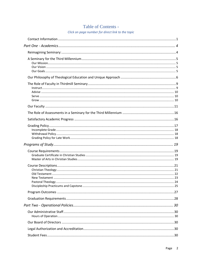# Table of Contents -

Click on page number for direct link to the topic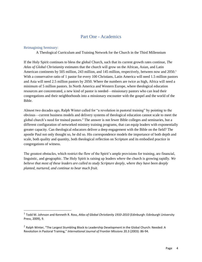## Part One - Academics

#### <span id="page-4-1"></span><span id="page-4-0"></span>Reimagining Seminary:

A Theological Curriculum and Training Network for the Church in the Third Millennium

If the Holy Spirit continues to bless the global Church, such that its current growth rates continue, *The Atlas of Global Christianity* estimates that the church will grow on the African, Asian, and Latin American continents by 505 million, 243 million, and 145 million, respectively, between now and 2050.<sup>1</sup> With a conservative ratio of 1 pastor for every 100 Christians, Latin America will need 1.5 million pastors and Asia will need 2.5 million pastors by 2050. Where the numbers are twice as high, Africa will need a minimum of 5 million pastors. In North America and Western Europe, where theological education resources are concentrated, a new kind of pastor is needed—missionary pastors who can lead their congregations and their neighborhoods into a missionary encounter with the gospel and the world of the Bible.

Almost two decades ago, Ralph Winter called for "a revolution in pastoral training" by pointing to the obvious—current business models and delivery systems of theological education cannot scale to meet the global church's need for trained pastors.<sup>2</sup> The answer is not fewer Bible colleges and seminaries, but a different configuration of networked ministry training programs, that can equip leaders with exponentially greater capacity. Can theological educators deliver a deep engagement with the Bible on the field? The apostle Paul not only thought so, he did so. His correspondence models the importance of both depth and scale, both quality and quantity, both theological reflection on Scripture and its embodied practice in congregations of witness.

The greatest obstacles, which restrict the flow of the Spirit's ample provisions for training, are financial, linguistic, and geographic. The Holy Spirit is raising up leaders *where* the church is growing rapidly. *We believe that most of these leaders are called to study Scripture deeply, where they have been deeply planted*, *nurtured, and continue to bear much fruit.*

<sup>1</sup> Todd M. Johnson and Kenneth R. Ross, *Atlas of Global Christianity 1910-2010* (Edinburgh: Edinburgh University Press, 2009), 9.

 $2$  Ralph Winter, "The Largest Stumbling Block to Leadership Development in the Global Church: Needed: A Revolution in Pastoral Training," *International Journal of Frontier Missions* 20.3 (2003): 86-94.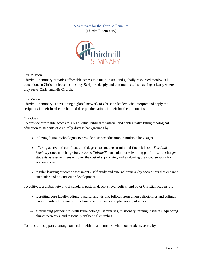# A Seminary for the Third Millennium

(Thirdmill Seminary)



#### <span id="page-5-1"></span><span id="page-5-0"></span>Our Mission

Thirdmill Seminary provides affordable access to a multilingual and globally resourced theological education, so Christian leaders can study Scripture deeply and communicate its teachings clearly where they serve Christ and His Church.

#### <span id="page-5-2"></span>Our Vision

Thirdmill Seminary is developing a global network of Christian leaders who interpret and apply the scriptures in their local churches and disciple the nations in their local communities.

#### <span id="page-5-3"></span>Our Goals

To provide affordable access to a high-value, biblically-faithful, and contextually-fitting theological education to students of culturally diverse backgrounds by:

- $\rightarrow$  utilizing digital technologies to provide distance education in multiple languages.
- $\rightarrow$  offering accredited certificates and degrees to students at minimal financial cost. *Thirdmill Seminary* does not charge for access to *Thirdmill* curriculum or e-learning platforms, but charges students assessment fees to cover the cost of supervising and evaluating their course work for academic credit.
- $\rightarrow$  regular learning outcome assessments, self-study and external reviews by accreditors that enhance curricular and co-curricular development.

To cultivate a global network of scholars, pastors, deacons, evangelists, and other Christian leaders by:

- $\rightarrow$  recruiting core faculty, adjunct faculty, and visiting fellows from diverse disciplines and cultural backgrounds who share our doctrinal commitments and philosophy of education.
- $\rightarrow$  establishing partnerships with Bible colleges, seminaries, missionary training institutes, equipping church networks, and regionally influential churches.

To build and support a strong connection with local churches, where our students serve, by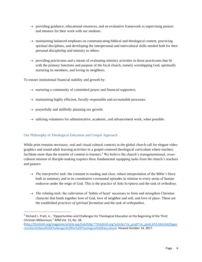- $\rightarrow$  providing guidance, educational resources, and an evaluative framework to supervising pastors and mentors for their work with our students.
- $\rightarrow$  maintaining balanced emphases on communicating biblical and theological content, practicing spiritual disciplines, and developing the interpersonal and intercultural skills needed both for their personal discipleship and ministry to others.
- $\rightarrow$  providing practicums and a means of evaluating ministry activities in those practicums that fit with the primary functions and purpose of the local church, namely worshipping God, spiritually nurturing its members, and loving its neighbors.

To ensure institutional financial stability and growth by:

- $\rightarrow$  nurturing a community of committed prayer and financial supporters.
- $\rightarrow$  maintaining highly efficient, fiscally responsible and accountable processes.
- $\rightarrow$  prayerfully and skillfully planning our growth.
- $\rightarrow$  utilizing volunteers for administrative, academic, and advancement work, when possible.

#### <span id="page-6-0"></span>Our Philosophy of Theological Education and Unique Approach

While print remains necessary, oral and visual cultural contexts in the global church call for elegant video graphics and sound adult learning activities in a gospel-centered theological curriculum where teachers facilitate more than the transfer of content to learners.<sup>3</sup> We believe the church's transgenerational, crosscultural mission of disciple-making requires three fundamental equipping tasks from the church's teachers and pastors:

- $\rightarrow$  *The interpretive task*: the constant re-reading and clear, robust interpretation of the Bible's Story both in summary and in its constitutive covenantal episodes in relation to every arena of human endeavor under the reign of God. This is the practice of *Sola Scriptura* and the task of *orthodoxy*.
- $\rightarrow$  *The relating task:* the cultivation of 'habits of heart' necessary to form and strengthen Christian character that binds together love of God, love of neighbor and self, and love of place. These are the established *practices of spiritual formation* and the task of *orthopathos*.

 $3$  Richard L. Pratt, Jr., "Opportunities and Challenges for Theological Education at the Beginning of the Third Christian Millennium," *RPM* Vol. 15, No. 38.

[<sup>\(</sup>http://thirdmill.org/magazine/article.asp/link/http:^^thirdmill.org^articles^ric\\_pratt^ric\\_pratt.ATA.html/at/Oppo](http://thirdmill.org/magazine/article.asp/link/http:%5e%5ethirdmill.org%5earticles%5eric_pratt%5eric_pratt.ATA.html/at/Opportunities%20and%20Challenges%20for%20Theological%20Education) [rtunities%20and%20Challenges%20for%20Theological%20Education\)](http://thirdmill.org/magazine/article.asp/link/http:%5e%5ethirdmill.org%5earticles%5eric_pratt%5eric_pratt.ATA.html/at/Opportunities%20and%20Challenges%20for%20Theological%20Education). Viewed October 14, 2017.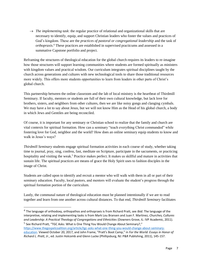$\rightarrow$  *The implementing task*: the regular practice of relational and organizational skills that are necessary to identify, equip, and support Christian leaders who foster the values and practices of God's kingdom. These are the *practices of pastoral or congregational leadership* and the task of *orthopraxis*. <sup>4</sup> These practices are established in supervised practicums and assessed in a summative Capstone portfolio and project.

Reframing the structures of theological education for the global church requires its leaders to re-imagine how those structures will support learning communities where students are formed spiritually as ministers with kingdom values and practical wisdom. Our curriculum integrates spiritual disciplines taught by the church across generations and cultures with new technological tools to share those traditional resources more widely. This offers more students opportunities to learn from leaders in other parts of Christ's global church.

This partnership between the online classroom and the lab of local ministry is the heartbeat of Thirdmill Seminary. If faculty, mentors or students are full of their own cultural knowledge, but lack love for brothers, sisters, and neighbors from other cultures, then we are like noisy gongs and clanging cymbals. We may have a lot to say about Jesus, but we will not know Him as the Head of his global church, a body in which Jews and Gentiles are being reconciled.

Of course, it is important for any seminary or Christian school to realize that the family and church are vital contexts for spiritual formation. How can a seminary "teach everything Christ commanded" while fostering love for God, neighbor and the world? How does an online seminary equip students to know and walk in Jesus's ways?

*Thirdmill Seminary* students engage spiritual formation activities in each course of study, whether taking time to journal, pray, sing, confess, fast, meditate on Scripture, participate in the sacraments, or practicing hospitality and visiting the weak.<sup>5</sup> Practice makes perfect. It makes us skillful and mature in activities that sustain life. The spiritual practices are means of grace the Holy Spirit uses to fashion disciples in the image of Christ.

Students are called upon to identify and recruit a mentor who will walk with them in all or part of their seminary education. Faculty, local pastors, and mentors will evaluate the student's progress through the spiritual formation portion of the curriculum.

Lastly, the communal nature of theological education must be planned intentionally if we are to read together and learn from one another across cultural distances. To that end, *Thirdmill Seminary* facilitates

<sup>4</sup> The language of orthodoxy, orthopathos and orthopraxis is from Richard Pratt, see *Ibid*. The language of the interpretive, relating and implementing tasks is from Mark Lou Bransen and Juan F. Martinez, *Churches, Cultures and Leadership: A Practical Theology of Congregations and Ethnicities* (Downers Grove, IL: IVP Academic, 2011). <sup>5</sup> See Richard Pratt, "TGC Asks: What is One Thing You Would Change About Seminary?,"

[https://www.thegospelcoalition.org/article/tgc-asks-what-one-thing-you-would-change-about-seminary](https://www.thegospelcoalition.org/article/tgc-asks-what-one-thing-you-would-change-about-seminary-education)[education](https://www.thegospelcoalition.org/article/tgc-asks-what-one-thing-you-would-change-about-seminary-education). Viewed October 20, 2017, and John Frame, "Pratt's Boot Camp," in *For the World: Essays in Honor of Richard L. Pratt, Jr*., ed. Justin Holcomb and Glenn Lucke (Phillipsburg, NJ: P&R Publishing, 2011), 145-157.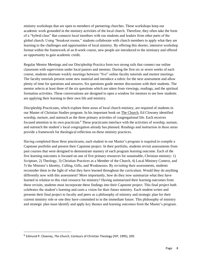ministry workshops that are open to members of partnering churches. These workshops keep our academic work grounded in the ministry activities of the local church. Therefore, they often take the form of a "hybrid class" that connects local members with our students and leaders from other parts of the global church. Using "breakout rooms," students collaborate with church members to apply what they are learning to the challenges and opportunities of local ministry. By offering this shorter, intensive workshop format within the framework of an 8-week course, new people are introduced to the seminary and offered an opportunity to gain academic credit.

Regular Mentor Meetings and our Discipleship Practica form two strong rails that connect our online classroom with supervision under local pastors and mentors. During the first six or seven weeks of each course, students alternate weekly meetings between "live" online faculty tutorials and mentor meetings. The faculty tutorials present some new material and introduce a rubric for the next assessment and allow plenty of time for questions and answers. Six questions guide mentor discussions with their students. The mentor selects at least three of the six questions which are taken from viewings, readings, and the spiritual formation activities. These conversations are designed to open a window for mentors to see how students are applying their learning to their own life and ministry.

Discipleship Practicums, which explore three areas of local church ministry, are required of students in our Master of Christian Studies program. In his important book on The Church, Ed Clowney identified worship, nurture, and outreach as the three primary activities of congregational life. Each receives focused attention in its own practicum.<sup>6</sup> These practicums interface with the activities of worship, nurture, and outreach the student's local congregation already has planned. Readings and instruction in these areas provide a framework for theological reflection on these ministry practices.

Having completed these three practicums, each student in our Master's program is required to compile a Capstone portfolio and present their Capstone project. In their portfolio, students revisit assessments from past courses that were designed to demonstrate mastery of each program learning outcome. Each of the five learning outcomes is focused on one of five primary resources for sustainable, Christian ministry: 1) Scripture, 2) Theology, 3) Christian Practices as a Member of the Church, 4) Local Ministry Context, and 5) the Minister's Identity, Calling, Gifts, and Weaknesses. By revisiting their assessments, students reconsider them in the light of what they have learned throughout the curriculum. Would they do anything differently now with this assessment? More importantly, how do they now summarize what they have learned in relation to this vital resource for ministry? Having summarized their learning outcomes from these revisits, students must incorporate these findings into their Capstone project. This final project both celebrates the student's learning and casts a vision for their future ministry. Each student writes and presents their final project to faculty and peers as a philosophy of ministry and strategic plan for their current ministry role or one they have committed to in the immediate future. This philosophy of ministry and strategic plan must identify and apply key themes and learning outcomes from the Master's program.

<sup>6</sup> Edmund P. Clowney, *The Church*, Contours of Christian Theology (IVP, 1995), 209.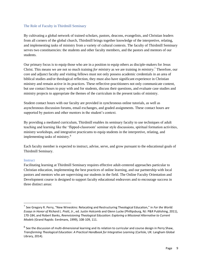#### <span id="page-9-0"></span>The Role of Faculty in Thirdmill Seminary

By cultivating a global network of trained scholars, pastors, deacons, evangelists, and Christian leaders from all corners of the global church, Thirdmill brings together knowledge of the interpretive, relating, and implementing tasks of ministry from a variety of cultural contexts. The faculty of Thirdmill Seminary serves two constituencies: the students and other faculty members, and the pastors and mentors of our students.

Our primary focus is to equip those who are in a position to equip others as disciple-makers for Jesus Christ. This means we are not so much training *for ministry* as we are training *in ministry*. <sup>7</sup> Therefore, our core and adjunct faculty and visiting fellows must not only possess academic credentials in an area of biblical studies and/or theological reflection, they must also have significant experience in Christian ministry and remain active in its practices. These reflective-practitioners not only communicate content, but use contact hours to pray with and for students, discuss their questions, and evaluate case studies and ministry projects to appropriate the themes of the curriculum in the present tasks of ministry.

Student contact hours with our faculty are provided in synchronous online tutorials, as well as asynchronous discussion forums, email exchanges, and graded assignments. These contact hours are supported by pastors and other mentors in the student's context.

By providing a mediated curriculum, Thirdmill enables its seminary faculty to use techniques of adult teaching and learning like the 'flipped-classroom' seminar style discussions, spiritual formation activities, ministry workshops, and integrative practicums to equip students in the interpretive, relating, and implementing tasks of ministry.<sup>8</sup>

Each faculty member is expected to instruct, advise, serve, and grow pursuant to the educational goals of Thirdmill Seminary.

#### <span id="page-9-1"></span>**Instruct**

Facilitating learning at Thirdmill Seminary requires effective adult-centered approaches particular to Christian education, implementing the best practices of online learning, and our partnership with local pastors and mentors who are supervising our students in the field. The Online Faculty Orientation and Development course is designed to support faculty educational endeavors and to encourage success in three distinct areas:

<sup>7</sup> See Gregory R. Perry, "New Wineskins: Relocating and Restructuring Theological Education," in *For the World: Essays in Honor of Richard L. Pratt, Jr*., ed. Justin Holcomb and Glenn Lucke (Phillipsburg, NJ: P&R Publishing, 2011), 170-184, and Robert Banks, *Reenvisioning Theological Education: Exploring a Missional Alternative to Current Models* (Grand Rapids: Eerdmans, 1999), 108-109, 111.

 $^8$  See the discussion of multi-dimensional learning and its relation to curricular and course design in Perry Shaw, *Transforming Theological Education: A Practical Handbook for Integrative Learning* (Carlisle, UK: Langham Global Library, 2014).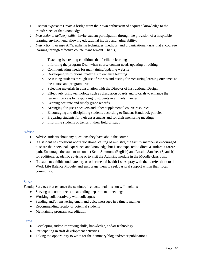- 1. *Content expertise*: Create a bridge from their own enthusiasm of acquired knowledge to the transference of that knowledge.
- 2. *Instructional delivery skills*: Invite student participation through the provision of a hospitable learning environment, allowing educational inquiry and vulnerability.
- 3. *Instructional design skills*: utilizing techniques, methods, and organizational tasks that encourage learning through effective course management. That is,
	- o Teaching by creating conditions that facilitate learning
	- o Informing the program Dean when course content needs updating or editing
	- o Communicating needs for maintaining/updating website
	- o Developing instructional materials to enhance learning
	- o Assessing students through use of rubrics and testing for measuring learning outcomes at the course and program level
	- o Selecting materials in consultation with the Director of Instructional Design
	- o Effectively using technology such as discussion boards and tutorials to enhance the learning process by responding to students in a timely manner
	- o Keeping accurate and timely grade records
	- o Arranging for guest speakers and other supplemental course resources
	- o Encouraging and disciplining students according to Student Handbook policies
	- o Preparing students for their assessments and for their mentoring meetings
	- o Informing students of trends in their field of study

#### <span id="page-10-0"></span>Advise

- Advise students about any questions they have about the course.
- If a student has questions about vocational calling of ministry, the faculty member is encouraged to share their personal experience and knowledge but is not expected to direct a student's career path. Encourage the student to contact Scott Simmons (English) and Rosalia Sanchez (Spanish) for additional academic advising or to visit the Advising module in the Moodle classroom.
- If a student exhibits undo anxiety or other mental health issues, pray with them, refer them to the Work Life Balance Module, and encourage them to seek pastoral support within their local community.

#### <span id="page-10-1"></span>Serve

Faculty Services that enhance the seminary's educational mission will include:

- Serving on committees and attending departmental meetings
- Working collaboratively with colleagues
- Sending and/or answering email and voice messages in a timely manner
- Recommending faculty or potential students
- Maintaining program accreditation

#### <span id="page-10-2"></span>Grow

- Developing and/or improving skills, knowledge, and/or technology
- Participating in staff development activities
- Taking the opportunity to write for the Seminary blog and/other publications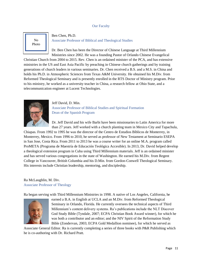#### Our Faculty

<span id="page-11-0"></span>

#### Ben Chen, Ph.D. Associate Professor of Biblical and Theological Studies

Dr. Ben Chen has been the Director of Chinese Language at Third Millennium Ministries since 2002. He was a founding Pastor of Orlando Chinese Evangelical

Christian Church from 2004 to 2015. Rev. Chen is an ordained minister of the PCA, and has extensive ministries in the US and East Asia Pacific by preaching in Chinese church gatherings and by training generations of church leaders in various seminaries. Dr. Chen received a B.S. and a M.S. in China and holds his Ph.D. in Atmospheric Sciences from Texas A&M University. He obtained his M.Div. from Reformed Theological Seminary and is presently enrolled in the RTS Doctor of Ministry program. Prior to his ministry, he worked as a university teacher in China, a research fellow at Ohio State, and a telecommunication engineer at Lucent Technologies.



Jeff David, D. Min. Associate Professor of Biblical Studies and Spiritual Formation Dean of the Spanish Program

Dr. Jeff David and his wife Barbi have been missionaries to Latin America for more than 27 years. Jeff worked with a church planting team in Mexico City and Tapachula,

Chiapas. From 1992 to 1995 he was the director of the Centro de Estudios Bíblicos de Monterrey, in Monterrey, Mexico. From 1996 to 2010, he served as professor of New Testament at Seminario ESEPA in San Jose, Costa Rica. From 2011 to 2013 he was a course writer for an online M.A. program called ProMETA (Programa de Maestría de Educación Teológica Accesible). In 2013, Dr. David helped develop a theological extension program in Cuba using Third Millennium materials. Jeff is an ordained minister and has served various congregations in the state of Washington. He earned his M.Div. from Regent College in Vancouver, British Columbia and his D.Min. from Gordon-Conwell Theological Seminary. His interests include Christian leadership, mentoring, and discipleship.

#### Ra McLaughlin, M. Div. Associate Professor of Theology

Ra began serving with Third Millennium Ministries in 1998. A native of Los Angeles, California, he



earned a B.A. in English at UCLA and an M.Div. from Reformed Theological Seminary in Orlando, Florida. He currently oversees the technical aspects of Third Millennium's content delivery systems. Ra's publications include the NLT Discover God Study Bible (Tyndale, 2007; ECPA Christian Book Award winner), for which he was both a contributor and an editor; and the NIV Spirit of the Reformation Study Bible (Zondervan, 2003; ECPA Gold Medallion nominee), for which he served as

Associate General Editor. Ra is currently completing a series of three books with P&R Publishing which he is co-authoring with Dr. Richard Pratt.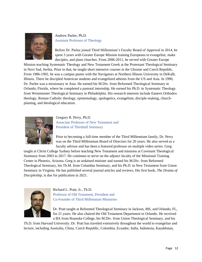

### Andrew Parlee, Ph.D. Assistant Professor of Theology

Before Dr. Parlee joined Third Millennium's Faculty Board of Approval in 2014, he spent 3 years with Greater Europe Mission training Europeans to evangelize, make disciples, and plant churches. From 2006-2011, he served with Greater Europe

Mission teaching Systematic Theology and New Testament Greek at the Protestant Theological Seminary in Novi Sad, Serbia. Prior to that, he taught short intensive courses in the Ukraine and Czech Republic. From 1986-1992, he was a campus pastor with the Navigators at Northern Illinois University in DeKalb, Illinois. There he discipled American students and evangelized atheists from the US and Asia. In 1990, Dr. Parlee was a missionary in Asia. He earned his M.Div. from Reformed Theological Seminary in Orlando, Florida, where he completed a pastoral internship. He earned his Ph.D. in Systematic Theology from Westminster Theological Seminary in Philadelphia. His research interests include Eastern Orthodox theology, Roman Catholic theology, epistemology, apologetics, evangelism, disciple-making, churchplanting, and theological education.



Gregory R. Perry, Ph.D. Associate Professor of New Testament and President of Thirdmill Seminary

Prior to becoming a full-time member of the Third Millennium family, Dr. Perry was on the Third Millennium Board of Directors for 20 years. He also served as a faculty advisor and has been a featured professor on multiple video series. Greg

taught at Christ College Sydney before teaching New Testament and missions at Covenant Theological Seminary from 2003 to 2017. He continues to serve on the adjunct faculty of the Missional Training Center in Phoenix, Arizona. Greg is an ordained minister and earned his M.Div. from Reformed Theological Seminary, his Th.M. from Columbia Seminary, and his Ph.D. in New Testament from Union Seminary in Virginia. He has published several journal articles and reviews. His first book, *The Drama of Discipleship,* is due for publication in 2021.



Richard L. Pratt, Jr., Th.D. Professor of Old Testament, President and Co-Founder of Third Millennium Ministries

Dr. Pratt taught at Reformed Theological Seminary in Jackson, MS, and Orlando, FL, for 21 years. He also chaired the Old Testament Department in Orlando. He received a BA from Roanoke College, his M.Div. from Union Theological Seminary, and his

Th.D. from Harvard University. Dr. Pratt has traveled extensively throughout the world to evangelize and lecture, including Australia, China, Czech Republic, Colombia, Ecuador, India, Indonesia, Kazakhstan,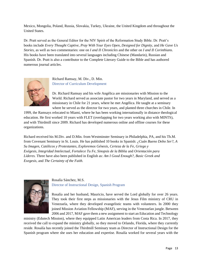Mexico, Mongolia, Poland, Russia, Slovakia, Turkey, Ukraine, the United Kingdom and throughout the United States.

Dr. Pratt served as the General Editor for the NIV Spirit of the Reformation Study Bible. Dr. Pratt's books include *Every Thought Captive*, *Pray With Your Eyes Open*, *Designed for Dignity*, and *He Gave Us Stories*, as well as two commentaries: one on *I and II Chronicles* and the other on *I and II Corinthians*. His books have been translated into several languages including Chinese (Mandarin), Russian and Spanish. Dr. Pratt is also a contributor to the Complete Literary Guide to the Bible and has authored numerous journal articles.



Richard Ramsay, M. Div., D. Min. Director of Curriculum Development

Dr. Richard Ramsay and his wife Angélica are missionaries with Mission to the World. Richard served as associate pastor for two years in Maryland, and served as a missionary in Chile for 21 years, where he met Angélica. He taught at a seminary where he served as the director for two years, and planted three churches in Chile. In

1999, the Ramsays relocated to Miami, where he has been working internationally in distance theological education. He first worked 10 years with FLET (overlapping for two years working also with MINTS), and with Thirdmill since 2009. Richard has developed numerous online and offline courses for these organizations.

Richard received his M.Div. and D.Min. from Westminster Seminary in Philadelphia, PA, and his Th.M. from Covenant Seminary in St. Louis. He has published 10 books in Spanish: *¿Cuán Bueno Debo Ser?, A Su Imagen, Católicos y Protestantes, Exploremos Génesis, Certeza de la Fe, Griego y Exégesis, Integridad Intelectual, Fortalece Tu Fe, Sinopsis de la Biblia* and *Orientación para Líderes.* Three have also been published in English as: *Am I Good Enough?, Basic Greek and Exegesis,* and *The Certainty of the Faith.*



Rosalía Sánchez, M.S. Director of Instructional Design, Spanish Program

Rosalía and her husband, Mauricio, have served the Lord globally for over 26 years. They took their first steps as missionaries with the Jesus Film ministry of CRU in Venezuela, where they developed evangelistic teams with volunteers. In 2000 they joined Mission Aviation Fellowship (MAF), serving in the Venezuelan jungle. Between 2006 and 2017, MAF gave them a new assignment to start an Education and Technology

ministry (Edutech Mission), where they equipped Latin American leaders from Costa Rica. In 2017, they received the call to expand the ministry globally, so they moved to Orlando, Florida, where they currently reside. Rosalía has recently joined the Thirdmill Seminary team as Director of Instructional Design for the Spanish program where she uses her education and expertise. Rosalía worked for several years with the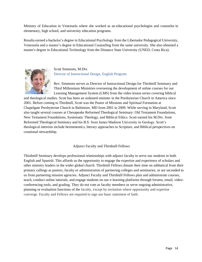Ministry of Education in Venezuela where she worked as an educational psychologist and counselor in elementary, high school, and university education programs.

Rosalía earned a bachelor's degree in Educational Psychology from the Libertador Pedagogical University, Venezuela and a master's degree in Educational Counseling from the same university. She also obtained a master's degree in Educational Technology from the Distance State University (UNED, Costa Rica).



Scott Simmons, M.Div. Director of Instructional Design, English Program

Rev. Simmons serves as Director of Instructional Design for Thirdmill Seminary and Third Millennium Ministries overseeing the development of online courses for our Learning Management System (LMS) from the video lesson series covering biblical

and theological studies. Scott has been an ordained minister in the Presbyterian Church in America since 2001. Before coming to Thirdmill, Scott was the Pastor of Missions and Spiritual Formation at Chapelgate Presbyterian Church in Baltimore, MD from 2001 to 2009. While serving in Maryland, Scott also taught several courses at Chesapeake Reformed Theological Seminary: Old Testament Foundations, New Testament Foundations, Systematic Theology, and Biblical Ethics. Scott earned his M.Div. from Reformed Theological Seminary and his B.S. from James Madison University in Geology. Scott's theological interests include hermeneutics, literary approaches to Scripture, and Biblical perspectives on creational stewardship.

Adjunct Faculty and Thirdmill Fellows

Thirdmill Seminary develops professional relationships with adjunct faculty to serve our students in both English and Spanish. This affords us the opportunity to engage the expertise and experience of scholars and other ministry leaders in the wider global church. Thirdmill Fellows donate their time on sabbatical from their primary callings as pastors, faculty or administration of partnering colleges and seminaries, or are seconded to us from partnering mission agencies. Adjunct Faculty and Thirdmill Fellows plan and administrate courses, teach, conduct online tutorials, and engage students on our e-learning platforms through forums, email, videoconferencing tools, and grading. They do not vote as faculty members or serve ongoing administrative, planning or evaluation functions of the faculty, except by invitation where opportunity and expertise converge. Faculty and Fellows are required to sign our basic statement of faith.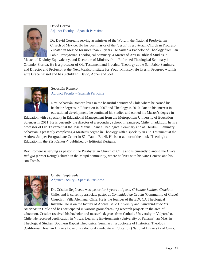

### David Correa Adjunct Faculty – Spanish Part-time

Dr. David Correa is serving as minister of the Word in the National Presbyterian Church of Mexico. He has been Pastor of the "Jesus" Presbyterian Church in Progreso, Yucatán in Mexico for more than 25 years. He earned a Bachelor of Theology from San Pablo Presbyterian Theological Seminary, a Master of Arts in Biblical Studies, a

Master of Divinity Equivalency, and Doctorate of Ministry from Reformed Theological Seminary in Orlando, Florida. He is a professor of Old Testament and Practical Theology at the San Pablo Seminary, and Director and Professor at the Next Mexico Institute for Youth Ministry. He lives in Progreso with his wife Grace Grissel and has 3 children: David, Abner and Joel.



#### Sebastián Romero Adjunct Faculty – Spanish Part-time

Rev. Sebastián Romero lives in the beautiful country of Chile where he earned his bachelor degrees in Education in 2007 and Theology in 2010. Due to his interest in educational development, he continued his studies and earned his Master's degree in

Education with a specialty in Educational Management from the Metropolitan University of Education Sciences in 2011. He is currently the director of a secondary school in Santiago, Chile. In addition, he is a professor of Old Testament at the José Manuel Ibañez Theological Seminary and at Thirdmill Seminary. Sebastian is presently completing a Master's degree in Theology with a specialty in Old Testament at the Andrew Jumper Postgraduate Center in São Paulo, Brazil. He is co-author of the book "Theological Education in the 21st Century" published by Editorial Kerigma.

Rev. Romero is serving as pastor in the Presbyterian Church of Chile and is currently planting the *Dulce Refugio* (Sweet Refuge) church in the Maipú community, where he lives with his wife Denisse and his son Tomás.



#### Cristian Sepúlveda Adjunct Faculty – Spanish Part-time

Dr. Cristian Sepúlveda was pastor for 8 years at *Iglesia Cristiana Sublime Gracia* in Chile, and is currently associate pastor at *Comunidad de Gracia* (Community of Grace) Church in Villa Alemana, Chile. He is the founder of the EDUCA Theological Institute. He is on the faculty of Andrés Bello University and *Universidad de las* 

*Américas* in Chile and has participated in various groundbreaking research projects in the area of education. Cristian received his bachelor and master's degrees from Catholic University in Valparaíso, Chile. He received certification in Virtual Learning Environments (University of Panama), an M.A. in Theological Studies (Southern Baptist Theological Seminary), a doctorate of Historical Theology (California Christian University) and is a doctoral candidate in Education (National University of Cuyo,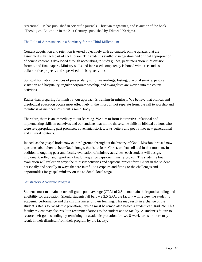Argentina). He has published in scientific journals, Christian magazines, and is author of the book "Theological Education in the 21st Century" published by Editorial Kerigma.

#### <span id="page-16-0"></span>The Role of Assessments in a Seminary for the Third Millennium

Content acquisition and retention is tested objectively with automated, online quizzes that are associated with each part of each lesson. The student's synthetic integration and critical appropriation of course content is developed through note-taking in study guides, peer interaction in discussion forums, and final papers. Ministry skills and increased competency is honed with case studies, collaborative projects, and supervised ministry activities.

Spiritual formation practices of prayer, daily scripture readings, fasting, diaconal service, pastoral visitation and hospitality, regular corporate worship, and evangelism are woven into the course activities.

Rather than preparing for ministry, our approach is training-in-ministry. We believe that biblical and theological education occurs most effectively in the midst of, not separate from, the call to worship and to witness as members of Christ's social body.

Therefore, there is an immediacy to our learning. We aim to form interpretive, relational and implementing skills in ourselves and our students that mimic those same skills in biblical authors who were re-appropriating past promises, covenantal stories, laws, letters and poetry into new generational and cultural contexts.

Indeed, as the gospel broke new cultural ground throughout the history of God's Mission it raised new questions about how to bear God's image, that is, to learn Christ, on that soil and in that moment. In addition to ongoing peer and faculty evaluation of ministry activities, each student will design, implement, reflect and report on a final, integrative capstone ministry project. The student's final evaluation will reflect on ways the ministry activities and capstone project form Christ in the student personally and socially in ways that are faithful to Scripture and fitting to the challenges and opportunities for gospel ministry on the student's local stage.

#### <span id="page-16-1"></span>Satisfactory Academic Progress

Students must maintain an overall grade point average (GPA) of 2.5 to maintain their good standing and eligibility for graduation. Should students fall below a 2.5 GPA, the faculty will review the student's academic performance and the circumstances of their learning. This may result in a change of the student's status to "academic probation," which must be remediated before a student can graduate. This faculty review may also result in recommendations to the student and to faculty. A student's failure to restore their good standing by remaining on academic probation for two 8-week terms or more may result in their dismissal from their program by the faculty.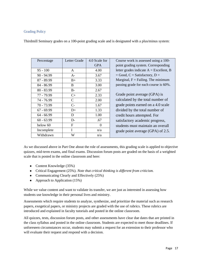#### <span id="page-17-0"></span>Grading Policy

Thirdmill Seminary grades on a 100-point grading scale and is designated with a plus/minus system:

| Percentage   | Letter Grade | 4.0 Scale for | Course work is assessed using a 100-       |
|--------------|--------------|---------------|--------------------------------------------|
|              |              | <b>GPA</b>    | point grading system. Corresponding        |
| $95 - 100$   | $\mathsf{A}$ | 4.00          | letter grades indicate $A = Excellent$ , B |
| $90 - 94.99$ | $A -$        | 3.67          | $=$ Good, C = Satisfactory, D =            |
| $87 - 89.99$ | $B+$         | 3.33          | Marginal, $F =$ Failing. The minimum       |
| 84 - 86.99   | <sub>B</sub> | 3.00          | passing grade for each course is 60%.      |
| $80 - 83.99$ | $B-$         | 2.67          |                                            |
| 77 - 79.99   | $C+$         | 2.33          | Grade point average (GPA) is               |
| 74 - 76.99   | C            | 2.00          | calculated by the total number of          |
| 70 - 73.99   | $C-$         | 1.67          | grade points earned on a 4.0 scale         |
| $67 - 69.99$ | $D+$         | 1.33          | divided by the total number of             |
| $64 - 66.99$ | D            | 1.00          | credit hours attempted. For                |
| $60 - 63.99$ | $D-$         | .67           | satisfactory academic progress,            |
| below 60     | F            | $\Omega$      | students must maintain an overall          |
| Incomplete   | T            | n/a           | grade point average (GPA) of 2.5.          |
| Withdrawn    | W            | n/a           |                                            |

As we discussed above in Part One about the role of assessments, this grading scale is applied to objective quizzes, mid-term exams, and final exams. Discussion forum posts are graded on the basis of a weighted scale that is posted in the online classroom and here:

- Content Knowledge (35%)
- Critical Engagement (25%). *Note that critical thinking is different from criticism.*
- Communicating Clearly and Effectively (25%)
- Approach to Application  $(15%)$

While we value content and want to validate its transfer, we are just as interested in assessing how students use knowledge in their personal lives and ministry.

Assessments which require students to analyze, synthesize, and prioritize the material such as research papers, exegetical papers, or ministry projects are graded with the use of rubrics. These rubrics are introduced and explained in faculty tutorials and posted in the online classroom.

All quizzes, tests, discussion forum posts, and other assessments have clear due dates that are printed in the class syllabus and posted in the online classroom. Students are expected to meet those deadlines. If unforeseen circumstances occur, students may submit a request for an extension to their professor who will evaluate their request and respond with a decision.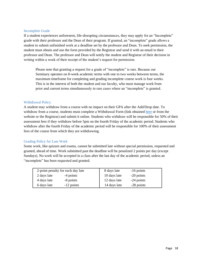#### <span id="page-18-0"></span>Incomplete Grade

If a student experiences unforeseen, life-disrupting circumstances, they may apply for an "Incomplete" grade with their professor and the Dean of their program. If granted, an "incomplete" grade allows a student to submit unfinished work at a deadline set by the professor and Dean. To seek permission, the student must obtain and use the form provided by the Registrar and send it with an email to their professor and Dean. The professor and Dean will notify the student and Registrar of their decision in writing within a week of their receipt of the student's request for permission.

Please note that granting a request for a grade of "incomplete" is rare. Because our Seminary operates on 8-week academic terms with one to two weeks between terms, the maximum timeframe for completing and grading incomplete course work is four weeks. This is in the interest of both the student and our faculty, who must manage work from prior and current terms simultaneously in rare cases where an "incomplete" is granted.

#### <span id="page-18-1"></span>Withdrawal Policy

A student may withdraw from a course with no impact on their GPA after the Add/Drop date. To withdraw from a course, students must complete a Withdrawal Form (link obtained [here](https://forms.office.com/pages/responsepage.aspx?id=-c8FmZft7EW5mx9a96PNhygYiIKlCRxBmdnYzzEX0ERUMzBOWDQ5OUxZODlGSko1UUk2WVM3UFUzUy4u&wdLOR=c783D7CCC-718E-F74B-B212-6B7EC6F3B3EC) or from the website or the Registrar) and submit it online. Students who withdraw will be responsible for 50% of their assessment fees if they withdraw before 5pm on the fourth Friday of the academic period. Students who withdraw after the fourth Friday of the academic period will be responsible for 100% of their assessment fees of the course from which they are withdrawing.

#### <span id="page-18-2"></span>Grading Policy for Late Work

Some work, like quizzes and exams, cannot be submitted late without special permission, requested and granted, ahead of time. Work submitted past the deadline will be penalized 2 points per day (except Sundays). No work will be accepted in a class after the last day of the academic period, unless an "incomplete" has been requested and granted.

|             | 2-point penalty for each day late | 8 days late  | $-16$ points |  |
|-------------|-----------------------------------|--------------|--------------|--|
| 2 days late | -4 points                         | 10 days late | $-20$ points |  |
| 4 days late | -8 points                         | 12 days late | -24 points   |  |
| 6 days late | -12 points                        | 14 days late | -28 points   |  |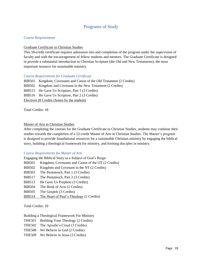# Programs of Study

#### <span id="page-19-1"></span><span id="page-19-0"></span>Course Requirements

#### <span id="page-19-2"></span>Graduate Certificate in Christian Studies

This 18-credit certificate requires admission into and completion of the program under the supervision of faculty and with the encouragement of fellow students and mentors. The Graduate Certificate is designed to provide a substantial introduction to Christian Scripture (the Old and New Testaments), the most important resource for sustainable ministry.

#### *Course Requirements for Graduate Certificate*

BIB501 Kingdom, Covenants and Canon of the Old Testament (2 Credits) BIB502 Kingdom and Covenant in the New Testament (2 Credits) BIB515 He Gave Us Scripture, Part 1 (3 Credits) BIB516 He Gave Us Scripture, Part 2 (3 Credits) Electives (8 Credits chosen by the student)

Total Credits: 18

#### <span id="page-19-3"></span>Master of Arts in Christian Studies

After completing the courses for the Graduate Certificate in Christian Studies, students may continue their studies towards the completion of a 52-credit Master of Arts in Christian Studies. The Master's program is designed to provide foundational resources for a sustainable Christian ministry by engaging the biblical story, building a theological framework for ministry, and forming disciples in ministry.

#### *Course Requirements for Master of Arts*

|               | Engaging the Biblical Story as a Subject of God's Reign |
|---------------|---------------------------------------------------------|
| <b>BIB501</b> | Kingdom, Covenants and Canon of the OT (2 Credits)      |
| <b>BIB502</b> | Kingdom and Covenant in the NT (2 Credits)              |
| <b>BIB503</b> | The Pentateuch, Part 1 (3 Credits)                      |
| <b>BIB517</b> | The Pentateuch, Part 2 (3 Credits)                      |
| <b>BIB513</b> | He Gave Us Prophets (3 Credits)                         |
| <b>BIB504</b> | The Book of Acts (2 Credits)                            |
| <b>BIB505</b> | The Gospels (3 Credits)                                 |
| <b>BIB514</b> | The Heart of Paul's Theology (2 Credits)                |

Total Credits: 20

Building a Theological Framework For Ministry

THE501 Building Your Theology (2 Credits)

THE502 The Apostle's Creed (3 Credits)

THE508 We Believe in God (2 Credits)

THE509 We Believe in Jesus (3 Credits)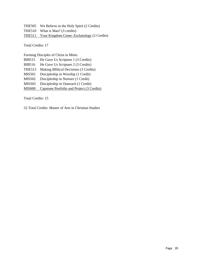THE505 We Believe in the Holy Spirit (2 Credits) THE510 What is Man? (3 credits) THE511 Your Kingdom Come: Eschatology (2 Credits)

Total Credits: 17

Forming Disciples of Christ in Minis BIB515 He Gave Us Scripture 1 (3 Credits) BIB516 He Gave Us Scripture 2 (3 Credits) THE513 Making Biblical Decisions (3 Credits) MIS501 Discipleship in Worship (1 Credit) MIS502 Discipleship in Nurture (1 Credit) MIS503 Discipleship in Outreach (1 Credit) MIS600 Capstone Portfolio and Project (3 Credits)

Total Credits: 15

52 Total Credits: Master of Arts in Christian Studies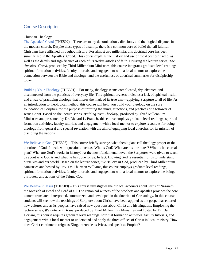# <span id="page-21-0"></span>Course Descriptions

#### <span id="page-21-1"></span>Christian Theology

The Apostles' Creed (THE502) – There are many denominations, divisions, and theological disputes in the modern church. Despite these types of disunity, there is a common core of belief that all faithful Christians have affirmed throughout history. For almost two millennia, this doctrinal core has been summarized in the Apostles' Creed. This course explains the history and use of the Apostles' Creed, as well as the details and significance of each of its twelve articles of faith. Utilizing the lecture series, *The Apostles' Creed*, produced by Third Millennium Ministries, this course integrates graduate level readings, spiritual formation activities, faculty tutorials, and engagement with a local mentor to explore the connection between the Bible and theology, and the usefulness of doctrinal summaries for discipleship today.

Building Your Theology (THE501) – For many, theology seems complicated, dry, abstract, and disconnected from the practices of everyday life. This spiritual dryness indicates a lack of spiritual health, and a way of practicing theology that misses the mark of its true aim—applying Scripture to all of life. As an introduction to theological method, this course will help you build your theology on the sure foundation of Scripture for the purpose of forming the mind, affections, and practices of a follower of Jesus Christ. Based on the lecture series, *Building Your Theology*, produced by Third Millennium Ministries and presented by Dr. Richard L. Pratt, Jr, this course employs graduate level readings, spiritual formation activities, faculty tutorials and engagement with a local mentor to explore resources for doing theology from general and special revelation with the aim of equipping local churches for its mission of discipling the nations.

We Believe in God (THE508) – This course briefly surveys what theologians call theology proper or the doctrine of God. It deals with questions such as: Who is God? What are his attributes? What is his eternal plan? What are God's works in history? At the most fundamental level, the Scriptures were given to teach us about who God is and what he has done for us. In fact, knowing God is essential for us to understand ourselves and our world. Based on the lecture series, *We Believe in God*, produced by Third Millennium Ministries and hosted by Rev. Dr. Thurman Williams, this course employs graduate level readings, spiritual formation activities, faculty tutorials, and engagement with a local mentor to explore the being, attributes, and actions of the Triune God.

We Believe in Jesus (THE509) – This course investigates the biblical accounts about Jesus of Nazareth, the Messiah of Israel and Lord of all. The canonical witness of the prophets and apostles provides the core content translated, interpreted, summarized, and developed in the doctrine of Christology. In this course, students will see how the teachings of Scripture about Christ have been applied as the gospel has entered new cultures and as its peoples have raised new questions about Christ and his kingdom. Employing the lecture series, *We Believe in Jesus*, produced by Third Millennium Ministries and hosted by Dr. Dan Doriani, this course requires graduate level readings, spiritual formation activities, faculty tutorials, and engagement with a local mentor to understand and apply the three offices of Christ in local ministry. How does Christ continue to reign as King, intercede as Priest, and speak as Prophet?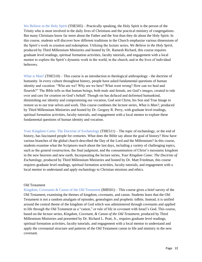We Believe in the Holy Spirit (THE505) – Practically speaking, the Holy Spirit is the person of the Trinity who is most involved in the daily lives of Christians and the practical ministry of congregations. But many Christians know far more about the Father and the Son than they do about the Holy Spirit. In this course, students will discover how different traditions in the Church emphasize various dimensions of the Spirit's work in creation and redemption. Utilizing the lecture series, *We Believe in the Holy Spirit*, produced by Third Millennium Ministries and hosted by Dr. Ramesh Richard, this course requires graduate level readings, spiritual formation activities, faculty tutorials, and engagement with a local mentor to explore the Spirit's dynamic work in the world, in the church, and in the lives of individual believers.

What is Man? (THE510) – This course is an introduction to theological anthropology - the doctrine of humanity. In every culture throughout history, people have asked fundamental questions of human identity and vocation: "Who are we? Why are we here? What went wrong? How can we heal and flourish?" The Bible tells us that human beings, both male and female, are God's images, created to rule over and care for creation on God's behalf. Though sin has defaced and deformed humankind, diminishing our identity and compromising our vocation, God sent Christ, his Son and True Image to restore us to our true selves and work. This course combines the lecture series, *What is Man?*, produced by Third Millennium Ministries and hosted by Dr. Gregory R. Perry, with graduate level readings, spiritual formation activities, faculty tutorials, and engagement with a local mentor to explore these fundamental questions of human identity and vocation.

Your Kingdom Come: The Doctrine of Eschatology (THE511) – The topic of eschatology, or the end of history, has fascinated people for centuries. What does the Bible say about the goal of history? How have various branches of the global church described the Day of the Lord and the Millennium? In this course, students examine what the Scriptures teach about the last days, including a variety of challenging topics, such as the general resurrection, the final judgment, and the consummation of Christ's messianic kingdom in the new heavens and new earth. Incorporating the lecture series, *Your Kingdom Come: The Doctrine of Eschatology*, produced by Third Millennium Ministries and hosted by Dr. Matt Friedman, this course requires graduate level readings, spiritual formation activities, faculty tutorials, and engagement with a local mentor to understand and apply eschatology to Christian missions and ethics.

#### <span id="page-22-0"></span>Old Testament

Kingdom, Covenants & Canon of the Old Testament (BIB501) – This course gives a brief survey of the Old Testament, examining the themes of kingdom, covenants, and canon. Students learn that the Old Testament is not a random amalgam of episodes, genealogies and prophetic tidbits. Instead, it is unified around the central theme of the kingdom of God which was administered through covenants and applied to life through the Old Testament as a "canon," or rule of life in covenant with Israel's God. This course, based on the lecture series, *Kingdom, Covenant, & Canon of the Old Testament*, produced by Third Millennium Ministries and presented by Dr. Richard L. Pratt, Jr., requires graduate level readings, spiritual formation activities, faculty tutorials, and engagement with a local mentor to understand and apply the covenantal structure and patterns of the Old Testament canon to life and ministry in the new covenant.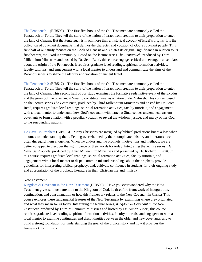The Pentateuch 1 (BIB503) – The first five books of the Old Testament are commonly called the Pentateuch or Torah. They tell the story of the nation of Israel from creation to their preparation to enter the land of Canaan. But the Pentateuch is much more than a historical account of Israel's origins. It is the collection of covenant documents that defines the character and vocation of God's covenant people. This first half of our study focuses on the Book of Genesis and situates its original significance in relation to its first hearers, the Exodus community. Based on the lecture series *The Pentateuch*, produced by Third Millennium Ministries and hosted by Dr. Scott Redd, this course engages critical and evangelical scholars about the origin of the Pentateuch. It requires graduate level readings, spiritual formation activities, faculty tutorials, and engagement with a local mentor to understand and communicate the aims of the Book of Genesis to shape the identity and vocation of ancient Israel.

The Pentateuch 2 (BIB517) – The first five books of the Old Testament are commonly called the Pentateuch or Torah. They tell the story of the nation of Israel from creation to their preparation to enter the land of Canaan. This second half of our study examines the formative redemptive event of the Exodus and the giving of the covenant at Sinai to constitute Israel as a nation under Yahweh. This course, based on the lecture series *The Pentateuch*, produced by Third Millennium Ministries and hosted by Dr. Scott Redd, requires graduate level readings, spiritual formation activities, faculty tutorials, and engagement with a local mentor to understand how God's covenant with Israel at Sinai echoes ancient near eastern covenants to form a nation with a peculiar vocation to reveal the wisdom, justice, and mercy of her God to the surrounding nations.

He Gave Us Prophets (BIB513) – Many Christians are intrigued by biblical predictions but at a loss when it comes to understanding them. Feeling overwhelmed by their complicated history and literature, we often disregard them altogether. When we understand the prophets' motivations and methods, we are better equipped to discover the significance of their words for today. Integrating the lecture series, *He Gave Us Prophets*, produced by Third Millennium Ministries and presented by Dr. Richard L. Pratt, Jr., this course requires graduate level readings, spiritual formation activities, faculty tutorials, and engagement with a local mentor to dispel common misunderstandings about the prophets, provide guidelines for interpreting biblical prophecy, and, cultivate confidence in students for their ongoing study and appropriation of the prophetic literature in their Christian life and ministry.

#### <span id="page-23-0"></span>New Testament

Kingdom  $\&$  Covenant in the New Testament (BIB502) – Have you ever wondered why the New Testament gives so much attention to the Kingdom of God, its threefold framework of inauguration, continuation, and consummation or how this framework relates to the New Covenant in Christ? This course explores these fundamental features of the New Testament by examining where they originated and what they mean for us today. Integrating the lecture series, *Kingdom & Covenant in the New Testament*, produced by Third Millennium Ministries and hosted by Dr. Simon Vibert, this course requires graduate level readings, spiritual formation activities, faculty tutorials, and engagement with a local mentor to examine continuities and discontinuities between the older and new covenants, and to build a strong foundation for understanding the goal of the biblical story and how it provides the framework for ministry.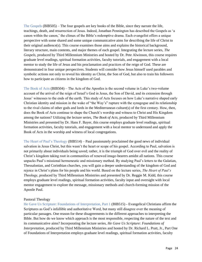The Gospels (BIB505) – The four gospels are key books of the Bible, since they narrate the life, teachings, death, and resurrection of Jesus. Indeed, Jonathan Pennington has described the Gospels as 'a canon within the canon,' the climax of the Bible's redemptive drama. Each evangelist offers a unique perspective with some shared and some unique communicative aims for describing the life of Christ to their original audience(s). This course examines those aims and explains the historical background, literary structure, main contents, and major themes of each gospel. Integrating the lecture series, *The Gospels,* produced by Third Millennium Ministries and hosted by Dr. Pete Alwinson, this course requires graduate level readings, spiritual formation activities, faculty tutorials, and engagement with a local mentor to study the life of Jesus and his proclamation and practices of the reign of God. These are demonstrated in four unique perspectives. Students will consider how Jesus himself used parables and symbolic actions not only to reveal his identity as Christ, the Son of God, but also to train his followers how to participate as citizens in the kingdom of God.

The Book of Acts (BIB504) – The Acts of the Apostles is the second volume in Luke's two-volume account of the arrival of the reign of Israel's God in Jesus, the Son of David, and its extension through Jesus' witnesses to the ends of the earth. This study of Acts focuses on how Luke's narrative shaped early Christian identity and mission in the wake of "the Way's" rupture with the synagogue and its relationship to the rival claims of other gods and lords in the Mediterranean culture(s) of the first century. How, then, does the Book of Acts continue to shape the Church's worship and witness to Christ and His Kingdom among the nations? Utilizing the lecture series, *The Book of Acts*, produced by Third Millennium Ministries and presented by Dr. Hans F. Bayer, this course employs graduate level readings, spiritual formation activities, faculty tutorials, and engagement with a local mentor to understand and apply the Book of Acts in the worship and witness of local congregations.

The Heart of Paul's Theology (BIB514) – Paul passionately proclaimed the good news of individual salvation in Jesus Christ, but this wasn't the heart or scope of his gospel. According to Paul, salvation is not primarily about individuals being saved; rather, it is the triumph of God over evil and the reality of Christ's kingdom taking root in communities of renewed image-bearers amidst all nations. This course unpacks Paul's missional hermeneutic and missionary method. By studying Paul's letters to the Galatian, Thessalonian, and Corinthian churches, you will gain a deeper understanding of the kingdom of God and rejoice in Christ's plans for his people and his world. Based on the lecture series, *The Heart of Paul's Theology*, produced by Third Millennium Ministries and presented by Dr. Reggie M. Kidd, this course employs graduate level readings, spiritual formation activities, faculty input and oversight with local mentor engagement to explore the message, missionary methods and church-forming mission of the Apostle Paul.

#### <span id="page-24-0"></span>Pastoral Theology

He Gave Us Scripture: Foundations of Interpretation, Part 1 (BIB515) - Evangelical Christians affirm the Scriptures as God's infallible and authoritative Word, but many still disagree over the meaning of particular passages. One reason for these disagreements is the different approaches to interpreting the Bible. But how do we know which approach is the most responsible, respecting the nature of the text and its communicative aims? Incorporating the lecture series, *He Gave Us Scripture: Foundations of Interpretation*, produced by Third Millennium Ministries and hosted by Dr. Richard L. Pratt, Jr., Part One of Foundations of Interpretation employs graduate level readings, spiritual formation activities, faculty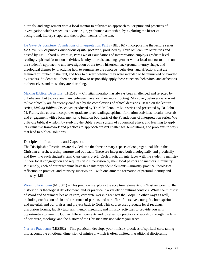tutorials, and engagement with a local mentor to cultivate an approach to Scripture and practices of investigation which respect its divine origin, yet human authorship, by exploring the historical background, literary shape, and theological themes of the text.

He Gave Us Scripture: Foundations of Interpretation, Part 2 (BIB516) - Incorporating the lecture series, *He Gave Us Scripture: Foundations of Interpretation*, produced by Third Millennium Ministries and hosted by Dr. Richard L. Pratt, Jr, Part Two of Foundations of Interpretation employs graduate level readings, spiritual formation activities, faculty tutorials, and engagement with a local mentor to build on the student's approach to and investigation of the text's historical background, literary shape, and theological themes by practicing how to summarize the concepts, behaviors, and affections that are featured or implied in the text, and how to discern whether they were intended to be mimicked or avoided by readers. Students will then practice how to responsibly apply these concepts, behaviors, and affections to themselves and those they are discipling.

Making Biblical Decisions (THE513) – Christian morality has always been challenged and rejected by unbelievers, but today even many believers have lost their moral footing. Moreover, believers who want to live ethically are frequently confused by the complexities of ethical decisions. Based on the lecture series, *Making Biblical Decisions*, produced by Third Millennium Ministries and presented by Dr. John M. Frame, this course incorporates graduate level readings, spiritual formation activities, faculty tutorials, and engagement with a local mentor to build on both parts of the Foundations of Interpretation series. We cultivate biblical wisdom by studying the Bible's own system of covenantal ethics, and learning to apply its evaluative framework and practices to approach present challenges, temptations, and problems in ways that lead to biblical solutions.

#### <span id="page-25-0"></span>Discipleship Practicums and Capstone

.

The Discipleship Practicums are divided into the three primary aspects of congregational life in the Christian church: worship, nurture and outreach. These are integrated both theologically and practically and flow into each student's final Capstone Project. Each practicum interfaces with the student's ministry in their local congregation and requires field supervision by their local pastors and mentors in ministry. Put simply, each of our practicums have three interdependent elements—ministry practice, theological reflection on practice, and ministry supervision—with one aim: the formation of pastoral identity and ministry skills.

Worship Practicum (MIS501) – This practicum explores the scriptural elements of Christian worship, the history of its theological development, and its practice in a variety of cultural contexts. While the ministry of Word and Sacrament lies at its core, corporate worship reenacts the Gospel in other ways as well, including confession of sin and assurance of pardon, and our offer of ourselves, our gifts, both spiritual and material, and our praises and prayers back to God. This course uses graduate level readings, discussion forums, faculty tutorials, mentor meetings, and ministry activities to provide you with opportunities to worship God in different contexts and to reflect on practices of worship through the lens of Scripture, theology, and the history of the Christian mission where you serve.

Nurture Practicum (MIS502) – This practicum develops your ministry practices of spiritual care, taking into account the emotional dimension of ministry, which is often omitted in traditional discipleship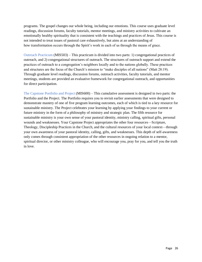programs. The gospel changes our whole being, including our emotions. This course uses graduate level readings, discussion forums, faculty tutorials, mentor meetings, and ministry activities to cultivate an emotionally healthy spirituality that is consistent with the teachings and practices of Jesus. This course is not intended to treat issues of pastoral care exhaustively, but aims at an understanding of how transformation occurs through the Spirit's work in each of us through the means of grace.

Outreach Practicum (MIS503) – This practicum is divided into two parts: 1) congregational practices of outreach, and 2) congregational structures of outreach. The structures of outreach support and extend the practices of outreach to a congregation's neighbors locally and to the nations globally. These practices and structures are the focus of the Church's mission to "make disciples of all nations" (Matt 28:19). Through graduate level readings, discussion forums, outreach activities, faculty tutorials, and mentor meetings, students are provided an evaluative framework for congregational outreach, and opportunities for direct participation.

The Capstone Portfolio and Project (MIS600) – This cumulative assessment is designed in two parts: the Portfolio and the Project. The Portfolio requires you to revisit earlier assessments that were designed to demonstrate mastery of one of five program learning outcomes, each of which is tied to a key resource for sustainable ministry. The Project celebrates your learning by applying your findings to your current or future ministry in the form of a philosophy of ministry and strategic plan. The fifth resource for sustainable ministry is your own sense of your pastoral identity, ministry calling, spiritual gifts, personal wounds and weaknesses. Your Capstone Project appropriates the other four resources—Scripture, Theology, Discipleship Practices in the Church, and the cultural resources of your local context—through your own awareness of your pastoral identity, calling, gifts, and weaknesses. This depth of self-awareness only comes through consistent appropriation of the other resources in ongoing relation to a mentor, spiritual director, or other ministry colleague, who will encourage you, pray for you, and tell you the truth in love.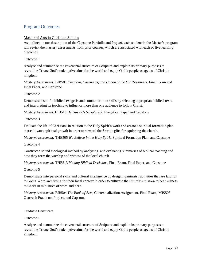# <span id="page-27-0"></span>Program Outcomes

#### Master of Arts in Christian Studies

As outlined in our description of the Capstone Portfolio and Project, each student in the Master's program will revisit the mastery assessments from prior courses, which are associated with each of five learning outcomes:

Outcome 1

Analyze and summarize the covenantal structure of Scripture and explain its primary purposes to reveal the Triune God's redemptive aims for the world and equip God's people as agents of Christ's kingdom.

*Mastery Assessment:* BIB501 *Kingdom, Covenants, and Canon of the Old Testament*, Final Exam and Final Paper, and Capstone

Outcome 2

Demonstrate skillful biblical exegesis and communication skills by selecting appropriate biblical texts and interpreting its teaching to influence more than one audience to follow Christ.

*Mastery Assessment*: BIB516 *He Gave Us Scripture 2*, Exegetical Paper and Capstone

Outcome 3

Evaluate the life of Christians in relation to the Holy Spirit's work and create a spiritual formation plan that cultivates spiritual growth in order to steward the Spirit's gifts for equipping the church.

*Mastery Assessment:* THE505 *We Believe in the Holy Spirit*, Spiritual Formation Plan, and Capstone

Outcome 4

Construct a sound theological method by analyzing and evaluating summaries of biblical teaching and how they form the worship and witness of the local church.

*Mastery Assessment:* THE513 *Making Biblical Decisions*, Final Exam, Final Paper, and Capstone

Outcome 5

Demonstrate interpersonal skills and cultural intelligence by designing ministry activities that are faithful to God's Word and fitting for their local context in order to cultivate the Church's mission to bear witness to Christ in ministries of word and deed.

*Mastery Assessment:* BIB504 *The Book of Acts,* Contextualization Assignment, Final Exam, MIS503 Outreach Practicum Project, and Capstone

#### Graduate Certificate

Outcome 1

Analyze and summarize the covenantal structure of Scripture and explain its primary purposes to reveal the Triune God's redemptive aims for the world and equip God's people as agents of Christ's kingdom.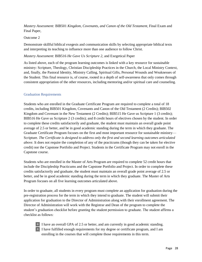*Mastery Assessment:* BIB501 *Kingdom, Covenants, and Canon of the Old Testament*, Final Exam and Final Paper,

#### Outcome 2

Demonstrate skillful biblical exegesis and communication skills by selecting appropriate biblical texts and interpreting its teaching to influence more than one audience to follow Christ.

#### *Mastery Assessment*: BIB516 *He Gave Us Scripture 2*, and Exegetical Paper

As listed above, each of the program learning outcomes is linked with a key resource for sustainable ministry: Scripture, Theology, Christian Discipleship Practices in the Church, the Local Ministry Context, and, finally, the Pastoral Identity, Ministry Calling, Spiritual Gifts, Personal Wounds and Weaknesses of the Student. This final resource is, of course, rooted in a depth of self-awareness that only comes through consistent appropriation of the other resources, including mentoring and/or spiritual care and counseling.

#### <span id="page-28-0"></span>Graduation Requirements

Students who are enrolled in the Graduate Certificate Program are required to complete a total of 18 credits, including BIB501 Kingdom, Covenants and Canon of the Old Testament (2 Credits); BIB502 Kingdom and Covenant in the New Testament (2 Credits); BIB515 He Gave us Scripture 1 (3 credits); BIB516 He Gave us Scripture 2 (3 credits); and 8 credit hours of electives chosen by the student. In order to complete these credits satisfactorily and graduate, the student must maintain an overall grade point average of 2.5 or better, and be in good academic standing during the term in which they graduate. The Graduate Certificate Program focuses on the first and most important resource for sustainable ministry— Scripture. *The Certificate is designed to address only the first and second learning outcomes articulated above.* It does not require the completion of any of the practicums (though they can be taken for elective credit) nor the Capstone Portfolio and Project. Students in the Certificate Program may not enroll in the Capstone course.

Students who are enrolled in the Master of Arts Program are required to complete 52 credit hours that include the Discipleship Practicums and the Capstone Portfolio and Project. In order to complete these credits satisfactorily and graduate, the student must maintain an overall grade point average of 2.5 or better, and be in good academic standing during the term in which they graduate. The Master of Arts Program focuses on all five learning outcomes articulated above.

In order to graduate, all students in every program must complete an application for graduation during the pre-registration process for the term in which they intend to graduate. The student will submit their application for graduation to the Director of Administration along with their enrollment agreement. The Director of Administration will work with the Registrar and Dean of the program to complete the student's graduation checklist before granting the student permission to graduate. The student affirms a checklist as follows:



 $\Box$  I have an overall GPA of 2.5 or better, and am currently in good academic standing. **□** I have fulfilled enough requirements for my degree or certificate program, and I am enrolling in the courses that will complete those requirements in this term.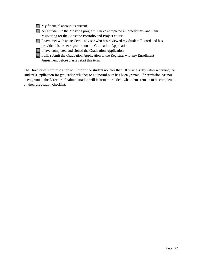| My financial account is current.                                                       |
|----------------------------------------------------------------------------------------|
| $\Box$ As a student in the Master's program, I have completed all practicums, and I am |
| registering for the Capstone Portfolio and Project course.                             |
| $\Box$ I have met with an academic advisor who has reviewed my Student Record and has  |
| provided his or her signature on the Graduation Application.                           |
| $\Box$ I have completed and signed the Graduation Application.                         |
| $\Box$ I will submit the Graduation Application to the Registrar with my Enrollment    |
| Agreement before classes start this term.                                              |

The Director of Administration will inform the student no later than 10 business days after receiving the student's application for graduation whether or not permission has been granted. If permission has not been granted, the Director of Administration will inform the student what items remain to be completed on their graduation checklist.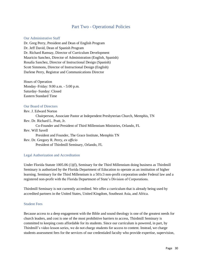### Part Two - Operational Policies

#### <span id="page-30-1"></span><span id="page-30-0"></span>Our Administrative Staff

Dr. Greg Perry, President and Dean of English Program Dr. Jeff David, Dean of Spanish Program Dr. Richard Ramsay, Director of Curriculum Development Mauricio Sanchez, Director of Administration (English, Spanish) Rosalía Sanchez, Director of Instructional Design (Spanish) Scott Simmons, Director of Instructional Design (English) Darlene Perry, Registrar and Communications Director

<span id="page-30-2"></span>Hours of Operation Monday–Friday: 9:00 a.m. - 5:00 p.m. Saturday–Sunday: Closed Eastern Standard Time

#### <span id="page-30-3"></span>Our Board of Directors

Rev. J. Edward Norton Chairperson, Associate Pastor at Independent Presbyterian Church, Memphis, TN Rev. Dr. Richard L. Pratt, Jr. Co-Founder and President of Third Millennium Ministries, Orlando, FL Rev. Will Savell President and Founder, The Grace Institute, Memphis TN Rev. Dr. Gregory R. Perry, *ex officio* President of Thirdmill Seminary, Orlando, FL

#### <span id="page-30-4"></span>Legal Authorization and Accreditation

Under Florida Statute 1005.06 (1)(f), Seminary for the Third Millennium doing business as Thirdmill Seminary is authorized by the Florida Department of Education to operate as an institution of higher learning. Seminary for the Third Millennium is a 501c3 non-profit corporation under Federal law and a registered non-profit with the Florida Department of State's Division of Corporations.

Thirdmill Seminary is not currently accredited. We offer a curriculum that is already being used by accredited partners in the United States, United Kingdom, Southeast Asia, and Africa.

#### <span id="page-30-5"></span>Student Fees

Because access to a deep engagement with the Bible and sound theology is one of the greatest needs for church leaders, and cost is one of the most prohibitive barriers to access, Thirdmill Seminary is committed to keeping costs affordable for its students. Since our curriculum is powered, in part, by Thirdmill's video lesson series, we do not charge students for access to content. Instead, we charge students assessment fees for the services of our credentialed faculty who provide expertise, supervision,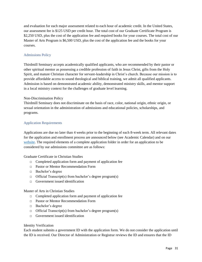and evaluation for each major assessment related to each hour of academic credit. In the United States, our assessment fee is \$125 USD per credit hour. The total cost of our Graduate Certificate Program is \$2,250 USD, plus the cost of the application fee and required books for your courses. The total cost of our Master of Arts Program is \$6,500 USD, plus the cost of the application fee and the books for your courses.

#### <span id="page-31-0"></span>Admissions Policy

Thirdmill Seminary accepts academically qualified applicants, who are recommended by their pastor or other spiritual mentor as possessing a credible profession of faith in Jesus Christ, gifts from the Holy Spirit, and mature Christian character for servant-leadership in Christ's church. Because our mission is to provide affordable access to sound theological and biblical training, we admit all qualified applicants. Admission is based on demonstrated academic ability, demonstrated ministry skills, and mentor support in a local ministry context for the challenges of graduate level learning.

#### <span id="page-31-1"></span>Non-Discrimination Policy

Thirdmill Seminary does not discriminate on the basis of race, color, national origin, ethnic origin, or sexual orientation in the administration of admissions and educational policies, scholarships, and programs.

#### <span id="page-31-2"></span>Application Requirements

Applications are due no later than 4 weeks prior to the beginning of each 8-week term. All relevant dates for the application and enrollment process are announced below (see Academic Calendar) and on our [website.](https://www.thirdmillseminary.org/) The required elements of a complete application folder in order for an application to be considered by our admissions committee are as follows:

<span id="page-31-3"></span>Graduate Certificate in Christian Studies

- □ Completed application form and payment of application fee
- □ Pastor or Mentor Recommendation Form
- □ Bachelor's degree
- □ Official Transcript(s) from bachelor's degree program(s)
- □ Government issued identification

#### <span id="page-31-4"></span>Master of Arts in Christian Studies

- □ Completed application form and payment of application fee
- □ Pastor or Mentor Recommendation Form
- □ Bachelor's degree
- □ Official Transcript(s) from bachelor's degree program(s)
- $\Box$  Government issued identification

#### <span id="page-31-5"></span>Identity Verification

Each student submits a government ID with the application form. We do not consider the application until the ID is received. Our Director of Administration or Registrar reviews the ID and ensures that the ID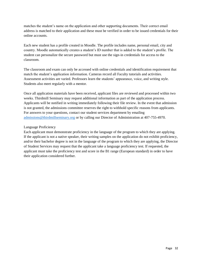matches the student's name on the application and other supporting documents. Their correct email address is matched to their application and these must be verified in order to be issued credentials for their online accounts.

Each new student has a profile created in Moodle. The profile includes name, personal email, city and country. Moodle automatically creates a student's ID number that is added to the student's profile. The student can personalize the secure password but must use the sign-in credentials for access to the classroom.

The classroom and exam can only be accessed with online credentials and identification requirement that match the student's application information. Cameras record all Faculty tutorials and activities. Assessment activities are varied. Professors learn the students' appearance, voice, and writing style. Students also meet regularly with a mentor.

Once all application materials have been received, applicant files are reviewed and processed within two weeks. Thirdmill Seminary may request additional information as part of the application process. Applicants will be notified in writing immediately following their file review. In the event that admission is not granted, the admissions committee reserves the right to withhold specific reasons from applicants. For answers to your questions, contact our student services department by emailing [admissions@thirdmillseminary.org](mailto:admissions@SemIIIM.org) or by calling our Director of Administration at 407-755-4970.

#### <span id="page-32-0"></span>Language Proficiency

Each applicant must demonstrate proficiency in the language of the program to which they are applying. If the applicant is not a native speaker, their writing samples on the application do not exhibit proficiency, and/or their bachelor degree is not in the language of the program to which they are applying, the Director of Student Services may request that the applicant take a language proficiency test. If requested, the applicant must take the proficiency test and score in the B1 range (European standard) in order to have their application considered further.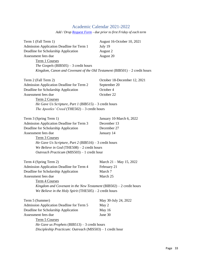# Academic Calendar 2021-2022

*Add / Drop [Request](https://forms.office.com/pages/responsepage.aspx?id=-c8FmZft7EW5mx9a96PNhygYiIKlCRxBmdnYzzEX0ERUMzBOWDQ5OUxZODlGSko1UUk2WVM3UFUzUy4u) Form - due prior to first Friday of each term*

<span id="page-33-0"></span>

| Term 1 (Fall Term 1)                                                         | August 16-October 10, 2021   |  |
|------------------------------------------------------------------------------|------------------------------|--|
| Admission Application Deadline for Term 1                                    | July 19                      |  |
| Deadline for Scholarship Application                                         | August 2                     |  |
| Assessment fees due                                                          | August 20                    |  |
| Term 1 Courses                                                               |                              |  |
| The Gospels (BIB505) – 3 credit hours                                        |                              |  |
| Kingdom, Canon and Covenant of the Old Testament $(BIB501) - 2$ credit hours |                              |  |
| Term 2 (Fall Term 2)                                                         | October 18-December 12, 2021 |  |
| Admission Application Deadline for Term 2                                    | September 20                 |  |
| Deadline for Scholarship Application                                         | October 4                    |  |
| Assessment fees due                                                          | October 22                   |  |
| <b>Term 2 Courses</b>                                                        |                              |  |
| He Gave Us Scripture, Part 1 (BIB515) – 3 credit hours                       |                              |  |
| The Apostles' Creed (THE502) $-3$ credit hours                               |                              |  |
| Term 3 (Spring Term 1)                                                       | January 10-March 6, 2022     |  |
| Admission Application Deadline for Term 3                                    | December 13                  |  |
| Deadline for Scholarship Application                                         | December 27                  |  |
| Assessment fees due                                                          | January 14                   |  |
| Term 3 Courses                                                               |                              |  |
| He Gave Us Scripture, Part 2 (BIB516) – 3 credit hours                       |                              |  |
| We Believe in $God$ (THE508) - 2 credit hours                                |                              |  |
| Outreach Practicum (MIS503) - 1 credit hour                                  |                              |  |
| Term 4 (Spring Term 2)                                                       | March $21 -$ May 15, 2022    |  |
| Admission Application Deadline for Term 4                                    | February 21                  |  |
| Deadline for Scholarship Application                                         | March 7                      |  |
| Assessment fees due                                                          | March 25                     |  |
| Term 4 Courses                                                               |                              |  |
| Kingdom and Covenant in the New Testament $(BIB502) - 2$ credit hours        |                              |  |
| We Believe in the Holy Spirit (THE505) $-2$ credit hours                     |                              |  |
| Term 5 (Summer)                                                              | May 30-July 24, 2022         |  |
| Admission Application Deadline for Term 5                                    | May 2                        |  |
| Deadline for Scholarship Application                                         | May 16                       |  |
| Assessment fees due                                                          | June 30                      |  |
| Term 5 Courses                                                               |                              |  |
| <i>He Gave us Prophets</i> (BIB513) $-3$ credit hours                        |                              |  |
| Discipleship Practicum: Outreach (MIS503) - 1 credit hour                    |                              |  |
|                                                                              |                              |  |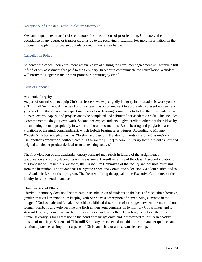#### <span id="page-34-0"></span>Acceptance of Transfer Credit Disclosure Statement

We cannot guarantee transfer of credit hours from institutions of prior learning. Ultimately, the acceptance of any degree or transfer credit is up to the receiving institution. For more information on the process for applying for course upgrade or credit transfer see below.

#### <span id="page-34-1"></span>Cancellation Policy

Students who cancel their enrollment within 5 days of signing the enrollment agreement will receive a full refund of any assessment fees paid to the Seminary. In order to communicate the cancellation, a student will notify the Registrar and/or their professor in writing by email.

#### <span id="page-34-2"></span>Code of Conduct

#### <span id="page-34-3"></span>Academic Integrity

As part of our mission to equip Christian leaders, we expect godly integrity in the academic work you do at Thirdmill Seminary. At the heart of this integrity is a commitment to accurately represent yourself and your work to others. First, we expect members of our learning community to follow the rules under which quizzes, exams, papers, and projects are to be completed and submitted for academic credit. This includes a commitment to do your own work. Second, we expect students to give credit to others for their ideas by documenting them appropriately in written and oral presentations. Both cheating and plagiarism are violations of the ninth commandment, which forbids bearing false witness. According to Miriam-Webster's dictionary, plagiarism is, "to steal and pass off (the ideas or words of another) as one's own: use (another's production) without crediting the source [... or] to commit literary theft: present as new and original an idea or product derived from an existing source."

The first violation of this academic honesty standard may result in failure of the assignment or test question and could, depending on the assignment, result in failure of the class. A second violation of this standard will result in a review by the Curriculum Committee of the faculty and possible dismissal from the institution. The student has the right to appeal the Committee's decision via a letter submitted to the Academic Dean of their program. The Dean will bring the appeal to the Executive Committee of the faculty for consideration and action.

#### <span id="page-34-4"></span>Christian Sexual Ethics

Thirdmill Seminary does not discriminate in its admission of students on the basis of race, ethnic heritage, gender or sexual orientation. In keeping with Scripture's description of human beings, created in the image of God as male and female, we hold to a biblical description of marriage between one man and one woman. Husband and wife become one flesh in their joint commission to multiply God's image and to steward God's gifts in covenant faithfulness to God and each other. Therefore, we believe the gift of human sexuality is for expression in the bond of marriage only, and is stewarded faithfully in chastity outside of marriage. Students of Thirdmill Seminary are expected to exhibit these character qualities and relational practices as important aspects of Christian behavior and servant-leadership.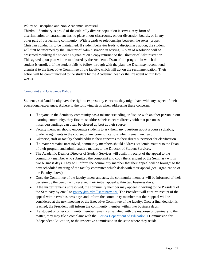<span id="page-35-0"></span>Policy on Discipline and Non-Academic Dismissal

Thirdmill Seminary is proud of the culturally diverse population it serves. Any form of discrimination or harassment has no place in our classrooms, on our discussion boards, or in any other part of our learning community. With regards to relationships between the sexes, proper Christian conduct is to be maintained. If student behavior leads to disciplinary action, the student will first be informed by the Director of Administration in writing. A plan of resolution will be presented requiring the student's signature on a copy returned to the Director of Administration. This agreed upon plan will be monitored by the Academic Dean of the program in which the student is enrolled. If the student fails to follow through with the plan, the Dean may recommend dismissal to the Executive Committee of the faculty, which will act on the recommendation. Their action will be communicated to the student by the Academic Dean or the President within two weeks.

#### <span id="page-35-1"></span>Complaint and Grievance Policy

Students, staff and faculty have the right to express any concerns they might have with any aspect of their educational experience. Adhere to the following steps when addressing these concerns:

- If anyone in the Seminary community has a misunderstanding or dispute with another person in our learning community, they first must address their concern directly with that person as misunderstandings can often be cleared up best at their source.
- Faculty members should encourage students to ask them any questions about a course syllabus, grade, assignments in the course, or any communications which remain unclear.
- Likewise, staff or faculty should address their concerns to their direct supervisor for clarification.
- If a matter remains unresolved, community members should address academic matters to the Dean of their program and administrative matters to the Director of Student Services.
- The Academic Dean or Director of Student Services will confirm receipt of the appeal to the community member who submitted the complaint and copy the President of the Seminary within two business days. They will inform the community member that their appeal will be brought to the next scheduled meeting of the faculty committee which deals with their appeal (see Organization of the Faculty above).
- Once the Committee of the faculty meets and acts, the community member will be informed of their decision by the person who received their initial appeal within two business days.
- If the matter remains unresolved, the community member may appeal in writing to the President of the Seminary by email to [gperry@thirdmillseminary.org.](mailto:gperry@thirdmillseminary.org) The President will confirm receipt of the appeal within two business days and inform the community member that their appeal will be considered at the next meeting of the Executive Committee of the faculty. Once a final decision is reached, the President will inform the community member within two business days.
- If a student or other community member remains unsatisfied with the response of Seminary to the matter, they may file a complaint with the [Florida Department of Education's](http://www.fldoe.org/policy/cie/file-a-complaint.stml#:~:text=Notice%3A%20Effective%20Immediately%20%2D%20all%20complaints,to%20cieinfo%40fldoe.org.&text=To%20file%20a%20complaint%20against,Name%20of%20Student%20(or%20Complainant)) Commission for Independent Education, or the respective commission in the state where they reside.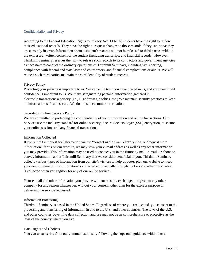#### <span id="page-36-0"></span>Confidentiality and Privacy

According to the Federal Education Rights to Privacy Act (FERPA) students have the right to review their educational records. They have the right to request changes to those records if they can prove they are currently in error. Information about a student's records will not be released to third parties without the expressed, written consent of the student (including transcripts and financial records). However, Thirdmill Seminary reserves the right to release such records to its contractors and government agencies as necessary to conduct the ordinary operations of Thirdmill Seminary, including tax reporting, compliance with federal and state laws and court orders, and financial complications or audits. We will request such third parties maintain the confidentiality of student records.

#### Privacy Policy

Protecting your privacy is important to us. We value the trust you have placed in us, and your continued confidence is important to us. We make safeguarding personal information gathered in electronic transactions a priority (i.e., IP addresses, cookies, etc.) We maintain security practices to keep all information safe and secure. We do not sell customer information.

#### Security of Online Sessions Policy

We are committed to protecting the confidentiality of your information and online transactions. Our Services use the industry standard for online security, Secure Sockets Layer (SSL) encryption, to secure your online sessions and any financial transactions.

#### Information Collected

If you submit a request for information via the "contact us," online "chat" option, or "request more information" forms on our website, we may save your e–mail address as well as any other information you may provide. This information may be used to contact you in the future by mail, e-mail, or phone to convey information about Thirdmill Seminary that we consider beneficial to you. Thirdmill Seminary collects various types of information from our site's visitors to help us better plan our website to meet your needs. Some of this information is collected automatically through cookies and other information is collected when you register for any of our online services.

Your e–mail and other information you provide will not be sold, exchanged, or given to any other company for any reason whatsoever, without your consent, other than for the express purpose of delivering the service requested.

#### Information Processing

Thirdmill Seminary is based in the United States. Regardless of where you are located, you consent to the processing and transferring of information in and to the U.S. and other countries. The laws of the U.S. and other countries governing data collection and use may not be as comprehensive or protective as the laws of the country where you live.

#### Data Rights and Choices

You can unsubscribe from our communications by following the "opt-out" guidance within those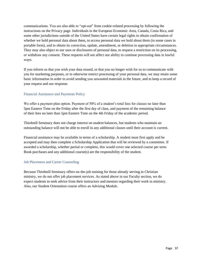communications. You are also able to "opt-out" from cookie-related processing by following the instructions on the Privacy page. Individuals in the European Economic Area, Canada, Costa Rica, and some other jurisdictions outside of the United States have certain legal rights to obtain confirmation of whether we hold personal data about them, to access personal data we hold about them (in some cases in portable form), and to obtain its correction, update, amendment, or deletion in appropriate circumstances. They may also object to our uses or disclosures of personal data, to request a restriction on its processing, or withdraw any consent. These requests will not affect our ability to continue processing data in lawful ways.

If you inform us that you wish your data erased, or that you no longer wish for us to communicate with you for marketing purposes, or to otherwise restrict processing of your personal data, we may retain some basic information in order to avoid sending you unwanted materials in the future, and to keep a record of your request and our response.

#### <span id="page-37-0"></span>Financial Assistance and Payments Policy

We offer a payment plan option. Payment of 50% of a student's total fees for classes no later than 5pm Eastern Time on the Friday after the first day of class, and payment of the remaining balance of their fees no later than 5pm Eastern Time on the 4th Friday of the academic period.

Thirdmill Seminary does not charge interest on student balances, but students who maintain an outstanding balance will not be able to enroll in any additional classes until their account is current.

Financial assistance may be available in terms of a scholarship. A student must first apply and be accepted and may then complete a Scholarship Application that will be reviewed by a committee. If awarded a scholarship, whether partial or complete, this would cover one selected course per term. Book purchases and any additional course $(s)$  are the responsibility of the student.

#### <span id="page-37-1"></span>Job Placement and Career Counseling

Because Thirdmill Seminary offers on-the-job training for those already serving in Christian ministry, we do not offer job placement services. As stated above in our Faculty section, we do expect students to seek advice from their instructors and mentors regarding their work in ministry. Also, our Student Orientation course offers an Advising Module.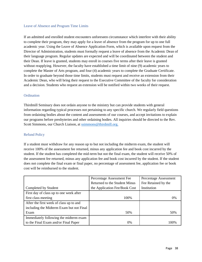#### <span id="page-38-0"></span>Leave of Absence and Program Time Limits

If an admitted and enrolled student encounters unforeseen circumstance which interfere with their ability to complete their program, they may apply for a leave of absence from the program for up to one full academic year. Using the Leave of Absence Application Form, which is available upon request from the Director of Administration, students must formally request a leave of absence from the Academic Dean of their language program. Regular updates are expected and will be coordinated between the student and their Dean. If leave is granted, students may enroll in courses five terms after their leave is granted without reapplying. However, the faculty have established a time limit of nine (9) academic years to complete the Master of Arts program, and four (4) academic years to complete the Graduate Certificate. In order to graduate beyond those time limits, students must request and receive an extension from their Academic Dean, who will bring their request to the Executive Committee of the faculty for consideration and a decision. Students who request an extension will be notified within two weeks of their request.

#### <span id="page-38-1"></span>**Ordination**

Thirdmill Seminary does not ordain anyone to the ministry but can provide students with general information regarding typical processes not pertaining to any specific church. We regularly field questions from ordaining bodies about the content and assessments of our courses, and accept invitations to explain our programs before presbyteries and other ordaining bodies. All inquiries should be directed to the Rev. Scott Simmons, our Church Liaison, at [ssimmons@thirdmill.org.](mailto:ssimmons@thirdmill.org)

#### <span id="page-38-2"></span>Refund Policy

If a student must withdraw for any reason up to but not including the midterm exam, the student will receive 100% of the assessment fee returned, minus any application fee and book cost incurred by the student. If the student has completed the mid-term but not the final exam, the student will receive 50% of the assessment fee returned, minus any application fee and book cost incurred by the student. If the student does not complete the final exam or final paper, no percentage of assessment fee, application fee or book cost will be reimbursed to the student.

|                                          | Percentage Assessment Fee     | Percentage Assessment |
|------------------------------------------|-------------------------------|-----------------------|
|                                          | Returned to the Student Minus | Fee Retained by the   |
| Completed by Student                     | the Application Fee/Book Cost | Institution           |
| First day of class up to one week after  |                               |                       |
| first class meeting                      | 100%                          | 0%                    |
| After the first week of class up to and  |                               |                       |
| including the Midterm Exam but not Final |                               |                       |
| Exam                                     | 50%                           | 50%                   |
| Immediately following the midterm exam   |                               |                       |
| to the Final Exam and/or Final Paper     | $0\%$                         | 100%                  |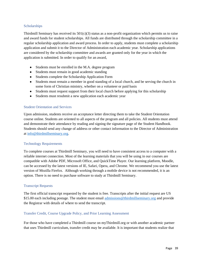#### <span id="page-39-0"></span>**Scholarships**

Thirdmill Seminary has received its  $501(c)(3)$  status as a non-profit organization which permits us to raise and award funds for student scholarships. All funds are distributed through the scholarship committee in a regular scholarship application and award process. In order to apply, students must complete a scholarship application and submit it to the Director of Administration each academic year. Scholarship applications are considered by the scholarship committee and awards are granted only for the year in which the application is submitted. In order to qualify for an award,

- Students must be enrolled in the M.A. degree program
- Students must remain in good academic standing
- Students complete the Scholarship Application Form
- Students must remain a member in good standing of a local church, and be serving the church in some form of Christian ministry, whether on a volunteer or paid basis
- Students must request support from their local church before applying for this scholarship
- Students must resubmit a new application each academic year

#### <span id="page-39-1"></span>Student Orientation and Services

Upon admission, students receive an acceptance letter directing them to take the Student Orientation course online. Students are oriented to all aspects of the program and all policies. All students must attend and demonstrate their attendance by reading and signing the signature page of the Student Handbook. Students should send any change of address or other contact information to the Director of Administration a[t info@thirdmillseminary.org.](mailto:info@thirdmillseminary.org)

#### <span id="page-39-2"></span>Technology Requirements

To complete courses at Thirdmill Seminary, you will need to have consistent access to a computer with a reliable internet connection. Most of the learning materials that you will be using in our courses are compatible with Adobe PDF, Microsoft Office, and QuickTime Player. Our learning platform, Moodle, can be accessed by the latest versions of IE, Safari, Opera, and Chrome. We recommend you use the latest version of Mozilla Firefox. Although working through a mobile device is not recommended, it is an option. There is no need to purchase software to study at Thirdmill Seminary.

#### <span id="page-39-3"></span>Transcript Requests

The first official transcript requested by the student is free. Transcripts after the initial request are US \$15.00 each including postage. The student must email [admissions@thirdmillseminary.org](mailto:admissions@thirdmillseminary.org) and provide the Registrar with details of where to send the transcript.

#### <span id="page-39-4"></span>Transfer Credit, Course Upgrade Policy, and Prior Learning Assessment

For those who have completed a Thirdmill course on myThirdmill.org or with another academic partner that uses Thirdmill curriculum, transfer credit may be available. It is important that students realize that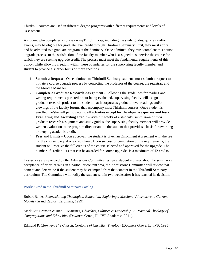Thirdmill courses are used in different degree programs with different requirements and levels of assessment.

A student who completes a course on myThirdmill.org, including the study guides, quizzes and/or exams, may be eligible for graduate level credit through Thirdmill Seminary. First, they must apply and be admitted to a graduate program at the Seminary. Once admitted, they must complete this course upgrade process to the satisfaction of the faculty member who is assigned to supervise the course for which they are seeking upgrade credit. The process must meet the fundamental requirements of this policy, while allowing freedom within these boundaries for the supervising faculty member and student to provide a sharper focus or more specifics.

- 1. **Submit a Request**  Once admitted to Thirdmill Seminary, students must submit a request to initiate a course upgrade process by contacting the professor of the course, the registrar, and the Moodle Manager.
- 2. **Complete a Graduate Research Assignment**  Following the guidelines for reading and writing requirements per credit hour being evaluated, supervising faculty will assign a graduate research project to the student that incorporates graduate-level readings and/or viewings of the faculty forums that accompany most Thirdmill courses. Once student is enrolled, he/she will participate in: all **activities except for the objective quizzes and tests.**
- 3. **Evaluating and Awarding Credit**  Within 2 weeks of a student's submission of their graduate research assignment and study guides, the supervising faculty member will provide a written evaluation to the program director and to the student that provides a basis for awarding or denying academic credit.
- 4. **Fees and Limits**  Upon approval, the student is given an Enrollment Agreement with the fee for the course to equal one credit hour. Upon successful completion of the requirements, the student will receive the full credits of the course selected and approved for the upgrade. The number of credit hours that can be awarded for course upgrades is a maximum of 12 credits.

Transcripts are reviewed by the Admissions Committee. When a student inquires about the seminary's acceptance of prior learning in a particular content area, the Admissions Committee will review that content and determine if the student may be exempted from that content in the Thirdmill Seminary curriculum. The Committee will notify the student within two weeks after it has reached its decision.

#### <span id="page-40-0"></span>Works Cited in the Thirdmill Seminary Catalog

Robert Banks, *Reenvisioning Theological Education: Exploring a Missional Alternative to Current Models* (Grand Rapids: Eerdmans, 1999).

Mark Lau Branson & Juan F. Martínez, *Churches, Cultures & Leadership: A Practical Theology of Congregations and Ethnicities* (Downers Grove, IL: IVP Academic, 2011).

Edmund P. Clowney, *The Church, Contours of Christian Theology* (Downers Grove, IL: IVP, 1995).